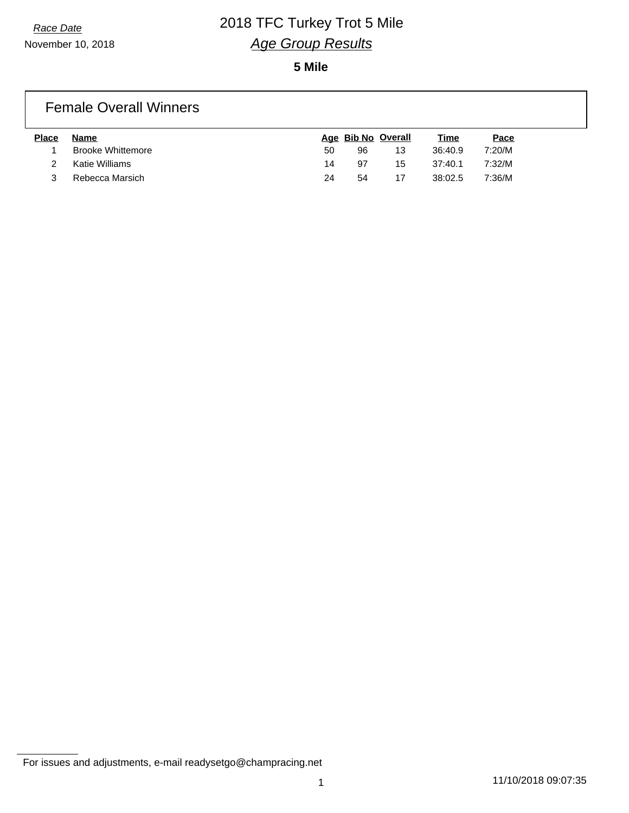**5 Mile**

#### Female Overall Winners

| <b>Place</b> | Name                     |    |    | Age Bib No Overall | <u>Time</u> | <u>Pace</u> |
|--------------|--------------------------|----|----|--------------------|-------------|-------------|
|              | <b>Brooke Whittemore</b> | 50 | 96 | 13                 | 36:40.9     | 7:20/M      |
|              | Katie Williams           | 14 | 97 | 15                 | 37:40.1     | 7:32/M      |
|              | Rebecca Marsich          | 24 | 54 |                    | 38:02.5     | 7:36/M      |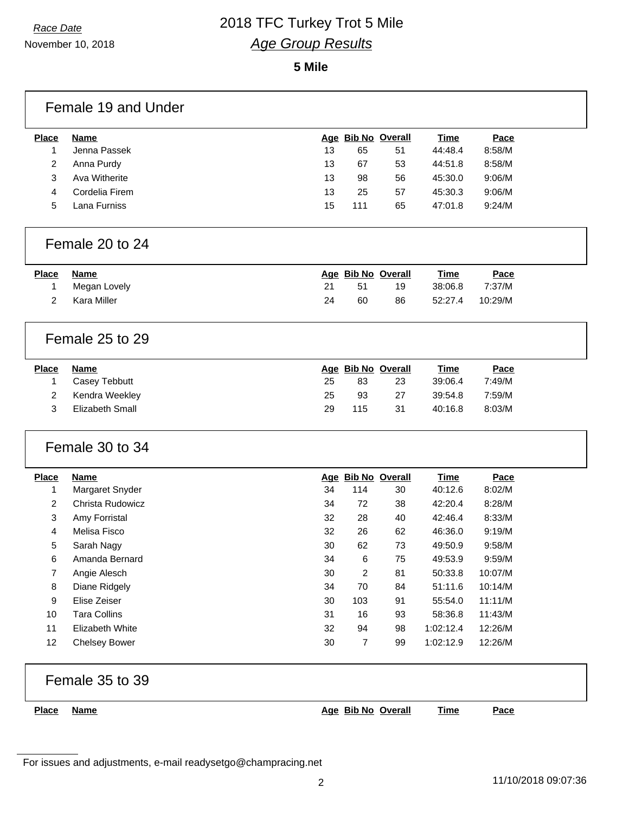November 10, 2018

#### **5 Mile**

| <b>Place</b>   | <b>Name</b>         |    |                | Age Bib No Overall | <b>Time</b> | Pace    |
|----------------|---------------------|----|----------------|--------------------|-------------|---------|
| 1              | Jenna Passek        | 13 | 65             | 51                 | 44:48.4     | 8:58/M  |
| $\overline{c}$ | Anna Purdy          | 13 | 67             | 53                 | 44:51.8     | 8:58/M  |
| 3              | Ava Witherite       | 13 | 98             | 56                 | 45:30.0     | 9:06/M  |
| 4              | Cordelia Firem      | 13 | 25             | 57                 | 45:30.3     | 9:06/M  |
| 5              | Lana Furniss        | 15 | 111            | 65                 | 47:01.8     | 9:24/M  |
|                | Female 20 to 24     |    |                |                    |             |         |
| <b>Place</b>   | <b>Name</b>         |    |                | Age Bib No Overall | <b>Time</b> | Pace    |
| 1              | Megan Lovely        | 21 | 51             | 19                 | 38:06.8     | 7:37/M  |
| 2              | Kara Miller         | 24 | 60             | 86                 | 52:27.4     | 10:29/M |
|                | Female 25 to 29     |    |                |                    |             |         |
| <b>Place</b>   | <b>Name</b>         |    |                | Age Bib No Overall | <b>Time</b> | Pace    |
|                | Casey Tebbutt       | 25 | 83             | 23                 | 39:06.4     | 7:49/M  |
| 1              |                     |    |                |                    |             |         |
| $\overline{c}$ | Kendra Weekley      | 25 | 93             | 27                 | 39:54.8     | 7:59/M  |
| 3              | Elizabeth Small     | 29 | 115            | 31                 | 40:16.8     | 8:03/M  |
|                | Female 30 to 34     |    |                |                    |             |         |
| <b>Place</b>   | <b>Name</b>         |    |                | Age Bib No Overall | <b>Time</b> | Pace    |
| 1              | Margaret Snyder     | 34 | 114            | 30                 | 40:12.6     | 8:02/M  |
| 2              | Christa Rudowicz    | 34 | 72             | 38                 | 42:20.4     | 8:28/M  |
| 3              | Amy Forristal       | 32 | 28             | 40                 | 42:46.4     | 8:33/M  |
| 4              | Melisa Fisco        | 32 | 26             | 62                 | 46:36.0     | 9:19/M  |
| 5              | Sarah Nagy          | 30 | 62             | 73                 | 49:50.9     | 9:58/M  |
| 6              | Amanda Bernard      | 34 | 6              | 75                 | 49:53.9     | 9:59/M  |
| 7              | Angie Alesch        | 30 | 2              | 81                 | 50:33.8     | 10:07/M |
| 8              | Diane Ridgely       | 34 | 70             | 84                 | 51:11.6     | 10:14/M |
| 9              | Elise Zeiser        | 30 | 103            | 91                 | 55:54.0     | 11:11/M |
| 10             | <b>Tara Collins</b> | 31 | 16             | 93                 | 58:36.8     | 11:43/M |
| 11             | Elizabeth White     | 32 | 94             | 98                 | 1:02:12.4   | 12:26/M |
| 12             | Chelsey Bower       | 30 | $\overline{7}$ | 99                 | 1:02:12.9   | 12:26/M |
|                | Female 35 to 39     |    |                |                    |             |         |

For issues and adjustments, e-mail readysetgo@champracing.net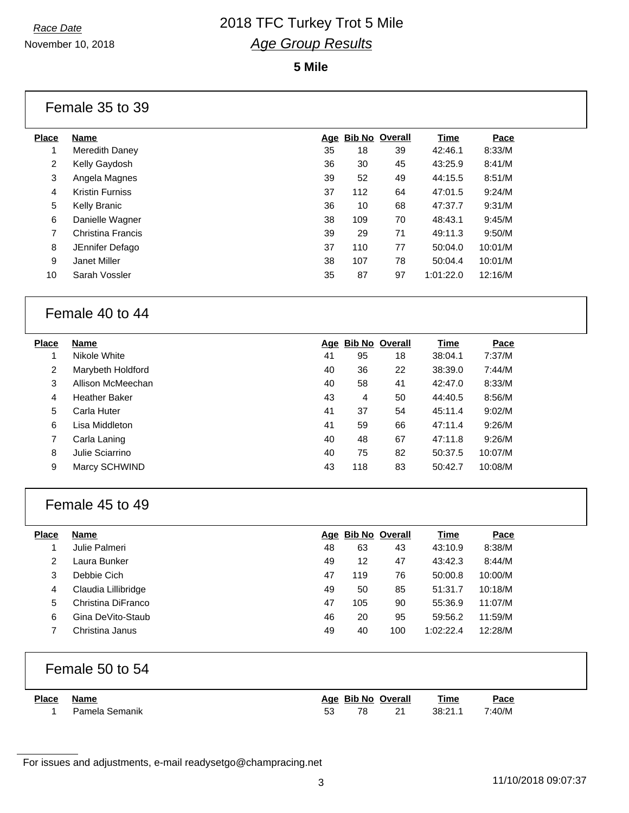November 10, 2018

#### **5 Mile**

#### Female 35 to 39

| Place | Name                   |    | Age Bib No Overall |    | Time      | Pace    |
|-------|------------------------|----|--------------------|----|-----------|---------|
| 1     | Meredith Daney         | 35 | 18                 | 39 | 42:46.1   | 8:33/M  |
| 2     | Kelly Gaydosh          | 36 | 30                 | 45 | 43:25.9   | 8:41/M  |
| 3     | Angela Magnes          | 39 | 52                 | 49 | 44:15.5   | 8:51/M  |
| 4     | <b>Kristin Furniss</b> | 37 | 112                | 64 | 47:01.5   | 9:24/M  |
| 5     | Kelly Branic           | 36 | 10                 | 68 | 47:37.7   | 9:31/M  |
| 6     | Danielle Wagner        | 38 | 109                | 70 | 48:43.1   | 9:45/M  |
| 7     | Christina Francis      | 39 | 29                 | 71 | 49:11.3   | 9:50/M  |
| 8     | JEnnifer Defago        | 37 | 110                | 77 | 50:04.0   | 10:01/M |
| 9     | Janet Miller           | 38 | 107                | 78 | 50:04.4   | 10:01/M |
| 10    | Sarah Vossler          | 35 | 87                 | 97 | 1:01:22.0 | 12:16/M |
|       |                        |    |                    |    |           |         |

### Female 40 to 44

| <b>Place</b> | <b>Name</b>          |    | Age Bib No Overall |    | Time    | Pace    |
|--------------|----------------------|----|--------------------|----|---------|---------|
|              | Nikole White         | 41 | 95                 | 18 | 38:04.1 | 7:37/M  |
| 2            | Marybeth Holdford    | 40 | 36                 | 22 | 38:39.0 | 7:44/M  |
| 3            | Allison McMeechan    | 40 | 58                 | 41 | 42:47.0 | 8:33/M  |
| 4            | <b>Heather Baker</b> | 43 | 4                  | 50 | 44:40.5 | 8:56/M  |
| 5            | Carla Huter          | 41 | 37                 | 54 | 45:11.4 | 9:02/M  |
| 6            | Lisa Middleton       | 41 | 59                 | 66 | 47:11.4 | 9:26/M  |
|              | Carla Laning         | 40 | 48                 | 67 | 47:11.8 | 9:26/M  |
| 8            | Julie Sciarrino      | 40 | 75                 | 82 | 50:37.5 | 10:07/M |
| 9            | Marcy SCHWIND        | 43 | 118                | 83 | 50:42.7 | 10:08/M |

#### Female 45 to 49

| <b>Place</b> | <b>Name</b>         | Aqe | <b>Bib No Overall</b> |     | Time      | Pace    |
|--------------|---------------------|-----|-----------------------|-----|-----------|---------|
|              | Julie Palmeri       | 48  | 63                    | 43  | 43:10.9   | 8:38/M  |
| 2            | Laura Bunker        | 49  | 12                    | 47  | 43:42.3   | 8:44/M  |
| 3            | Debbie Cich         | 47  | 119                   | 76  | 50:00.8   | 10:00/M |
| 4            | Claudia Lillibridge | 49  | 50                    | 85  | 51:31.7   | 10:18/M |
| 5            | Christina DiFranco  | 47  | 105                   | 90  | 55:36.9   | 11:07/M |
| 6            | Gina DeVito-Staub   | 46  | 20                    | 95  | 59:56.2   | 11:59/M |
|              | Christina Janus     | 49  | 40                    | 100 | 1:02:22.4 | 12:28/M |

#### Female 50 to 54

| <b>Place</b> | <b>Name</b>    |    |    | Age Bib No Overall | <b>Time</b> | Pace   |
|--------------|----------------|----|----|--------------------|-------------|--------|
|              | Pamela Semanik | 53 | 78 | 21                 | 38:21.1     | 7:40/M |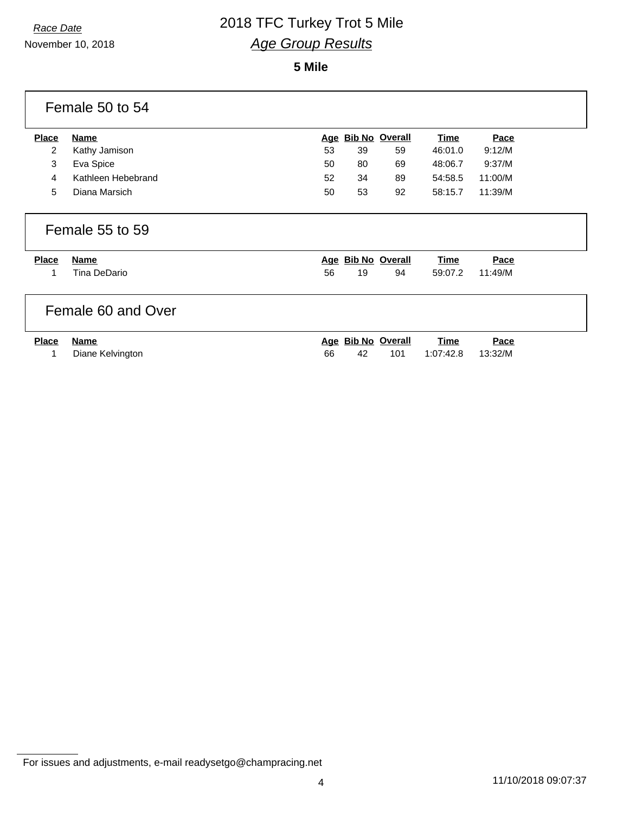#### **5 Mile**

| Female 50 to 54   |                                                |            |    |                          |                        |                        |  |
|-------------------|------------------------------------------------|------------|----|--------------------------|------------------------|------------------------|--|
| <b>Place</b>      | <b>Name</b>                                    | <u>Age</u> |    | <b>Bib No Overall</b>    | <u>Time</u>            | Pace                   |  |
| $\overline{2}$    | Kathy Jamison                                  | 53         | 39 | 59                       | 46:01.0                | 9:12/M                 |  |
| 3                 | Eva Spice                                      | 50         | 80 | 69                       | 48:06.7                | 9:37/M                 |  |
| 4                 | Kathleen Hebebrand                             | 52         | 34 | 89                       | 54:58.5                | 11:00/M                |  |
| 5                 | Diana Marsich                                  | 50         | 53 | 92                       | 58:15.7                | 11:39/M                |  |
| <b>Place</b><br>1 | Female 55 to 59<br><b>Name</b><br>Tina DeDario | 56         | 19 | Age Bib No Overall<br>94 | <u>Time</u><br>59:07.2 | <b>Pace</b><br>11:49/M |  |
|                   | Female 60 and Over                             |            |    |                          |                        |                        |  |
| <b>Place</b>      | <b>Name</b>                                    |            |    | Age Bib No Overall       | <b>Time</b>            | Pace                   |  |
|                   | Diane Kelvington                               | 66         | 42 | 101                      | 1:07:42.8              | 13:32/M                |  |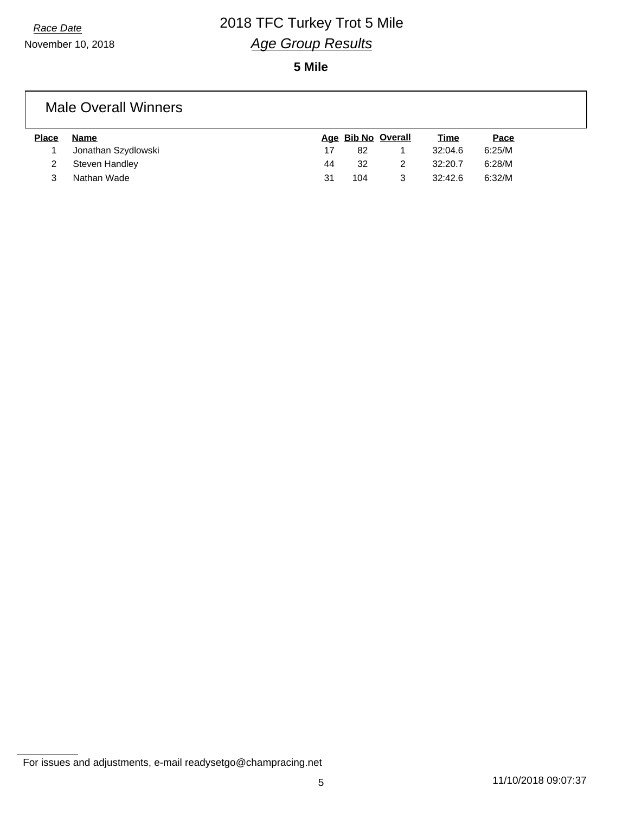**5 Mile**

#### Male Overall Winners

| <b>Place</b> | Name                |    |     | Age Bib No Overall | <u>Time</u> | Pace   |
|--------------|---------------------|----|-----|--------------------|-------------|--------|
|              | Jonathan Szydlowski |    | 82  |                    | 32:04.6     | 6:25/M |
|              | Steven Handley      | 44 | 32  |                    | 32:20.7     | 6:28/M |
|              | Nathan Wade         | 31 | 104 |                    | 32:42.6     | 6:32/M |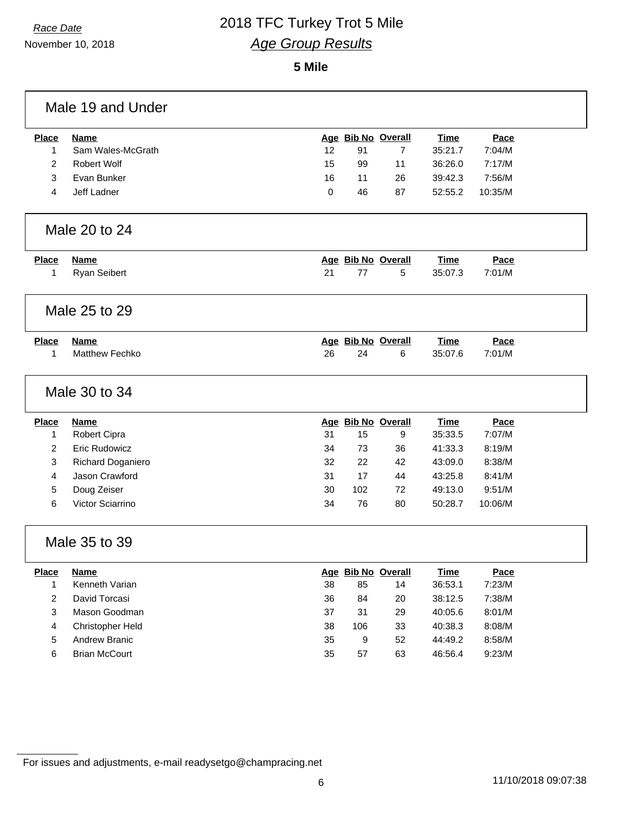November 10, 2018

### *Race Date* 2018 TFC Turkey Trot 5 Mile *Age Group Results*

#### **5 Mile**

| <b>Place</b>   | <b>Name</b>           |    |     | Age Bib No Overall | <b>Time</b> | Pace    |  |
|----------------|-----------------------|----|-----|--------------------|-------------|---------|--|
| 1              | Sam Wales-McGrath     | 12 | 91  | $\overline{7}$     | 35:21.7     | 7:04/M  |  |
| $\overline{2}$ | Robert Wolf           | 15 | 99  | 11                 | 36:26.0     | 7:17/M  |  |
| 3              | Evan Bunker           | 16 | 11  | 26                 | 39:42.3     | 7:56/M  |  |
| 4              | Jeff Ladner           | 0  | 46  | 87                 | 52:55.2     | 10:35/M |  |
|                | Male 20 to 24         |    |     |                    |             |         |  |
| <b>Place</b>   | <b>Name</b>           |    |     | Age Bib No Overall | <b>Time</b> | Pace    |  |
| 1              | Ryan Seibert          | 21 | 77  | 5                  | 35:07.3     | 7:01/M  |  |
|                | Male 25 to 29         |    |     |                    |             |         |  |
| <b>Place</b>   | <b>Name</b>           |    |     | Age Bib No Overall | <b>Time</b> | Pace    |  |
| 1              | <b>Matthew Fechko</b> | 26 | 24  | 6                  | 35:07.6     | 7:01/M  |  |
|                | Male 30 to 34         |    |     |                    |             |         |  |
|                |                       |    |     |                    |             |         |  |
| <b>Place</b>   | <b>Name</b>           |    |     | Age Bib No Overall | <b>Time</b> | Pace    |  |
| 1              | Robert Cipra          | 31 | 15  | 9                  | 35:33.5     | 7:07/M  |  |
| $\overline{2}$ | <b>Eric Rudowicz</b>  | 34 | 73  | 36                 | 41:33.3     | 8:19/M  |  |
| 3              | Richard Doganiero     | 32 | 22  | 42                 | 43:09.0     | 8:38/M  |  |
| 4              | Jason Crawford        | 31 | 17  | 44                 | 43:25.8     | 8:41/M  |  |
| 5              | Doug Zeiser           | 30 | 102 | 72                 | 49:13.0     | 9:51/M  |  |
| 6              | Victor Sciarrino      | 34 | 76  | 80                 | 50:28.7     | 10:06/M |  |
|                | Male 35 to 39         |    |     |                    |             |         |  |
| <b>Place</b>   | <b>Name</b>           |    |     | Age Bib No Overall | <b>Time</b> | Pace    |  |
| 1              | Kenneth Varian        | 38 | 85  | 14                 | 36:53.1     | 7:23/M  |  |
| $\overline{c}$ | David Torcasi         | 36 | 84  | 20                 | 38:12.5     | 7:38/M  |  |
| 3              | Mason Goodman         | 37 | 31  | 29                 | 40:05.6     | 8:01/M  |  |
| 4              | Christopher Held      | 38 | 106 | 33                 | 40:38.3     | 8:08/M  |  |
| 5              | <b>Andrew Branic</b>  | 35 | 9   | 52                 | 44:49.2     | 8:58/M  |  |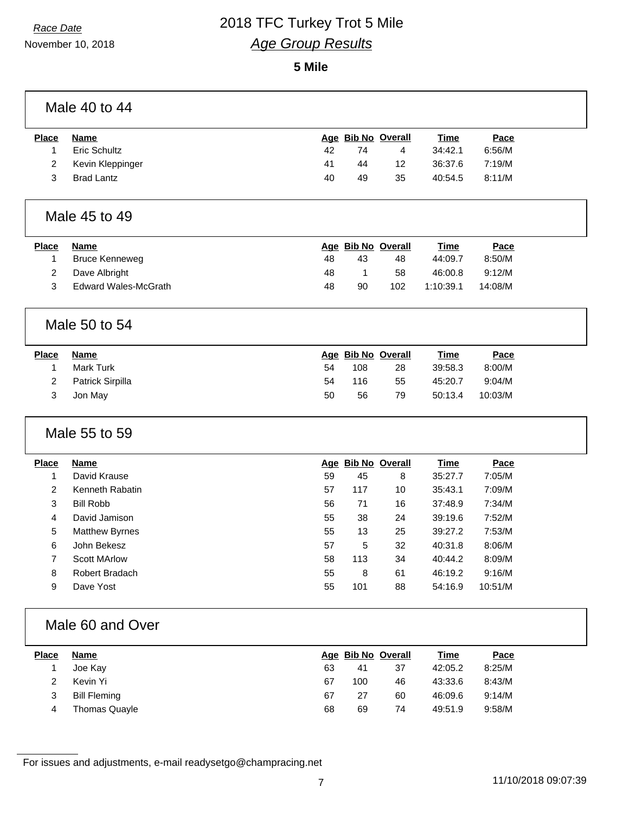November 10, 2018

#### **5 Mile**

| <b>Place</b>   | <b>Name</b>                 |    |     | Age Bib No Overall | <b>Time</b> | Pace    |
|----------------|-----------------------------|----|-----|--------------------|-------------|---------|
| 1              | Eric Schultz                | 42 | 74  | 4                  | 34:42.1     | 6:56/M  |
| 2              | Kevin Kleppinger            | 41 | 44  | 12                 | 36:37.6     | 7:19/M  |
| 3              | <b>Brad Lantz</b>           | 40 | 49  | 35                 | 40:54.5     | 8:11/M  |
|                | Male 45 to 49               |    |     |                    |             |         |
| <b>Place</b>   | <b>Name</b>                 |    |     | Age Bib No Overall | <b>Time</b> | Pace    |
| 1              | <b>Bruce Kenneweg</b>       | 48 | 43  | 48                 | 44:09.7     | 8:50/M  |
| $\overline{c}$ | Dave Albright               | 48 | 1   | 58                 | 46:00.8     | 9:12/M  |
| 3              | <b>Edward Wales-McGrath</b> | 48 | 90  | 102                | 1:10:39.1   | 14:08/M |
|                | Male 50 to 54               |    |     |                    |             |         |
| <b>Place</b>   | <b>Name</b>                 |    |     | Age Bib No Overall | <b>Time</b> | Pace    |
| 1              | Mark Turk                   | 54 | 108 | 28                 | 39:58.3     | 8:00/M  |
| 2              | Patrick Sirpilla            | 54 | 116 | 55                 | 45:20.7     | 9:04/M  |
| 3              | Jon May                     | 50 | 56  | 79                 | 50:13.4     | 10:03/M |
|                | Male 55 to 59               |    |     |                    |             |         |
| <b>Place</b>   | <b>Name</b>                 |    |     | Age Bib No Overall | <b>Time</b> | Pace    |
| 1              | David Krause                | 59 | 45  | 8                  | 35:27.7     | 7:05/M  |
| 2              | Kenneth Rabatin             | 57 | 117 | 10                 | 35:43.1     | 7:09/M  |
| 3              | <b>Bill Robb</b>            | 56 | 71  | 16                 | 37:48.9     | 7:34/M  |
| 4              | David Jamison               | 55 | 38  | 24                 | 39:19.6     | 7:52/M  |
| 5              | Matthew Byrnes              | 55 | 13  | 25                 | 39:27.2     | 7:53/M  |
| 6              | John Bekesz                 | 57 | 5   | 32                 | 40:31.8     | 8:06/M  |
| 7              | <b>Scott MArlow</b>         | 58 | 113 | 34                 | 40:44.2     | 8:09/M  |
| 8              | Robert Bradach              | 55 | 8   | 61                 | 46:19.2     | 9:16/M  |
| 9              | Dave Yost                   | 55 | 101 | 88                 | 54:16.9     | 10:51/M |
|                | Male 60 and Over            |    |     |                    |             |         |
| <b>Place</b>   | <b>Name</b>                 |    |     | Age Bib No Overall | <b>Time</b> | Pace    |
| $\mathbf{1}$   | Joe Kay                     | 63 | 41  | 37                 | 42:05.2     | 8:25/M  |